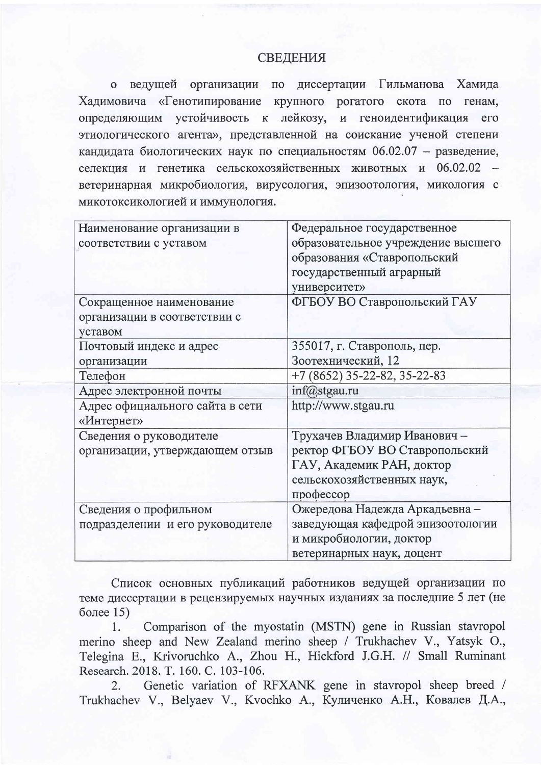## **СВЕДЕНИЯ**

о ведущей организации по диссертации Гильманова Хамида Хадимовича «Генотипирование крупного рогатого скота по генам, определяющим устойчивость к лейкозу, и геноидентификация его этиологического агента», представленной на соискание ученой степени кандидата биологических наук по специальностям 06.02.07 - разведение, селекция и генетика сельскохозяйственных животных и 06.02.02 ветеринарная микробиология, вирусология, эпизоотология, микология с микотоксикологией и иммунология.

| Наименование организации в       | Федеральное государственное        |
|----------------------------------|------------------------------------|
| соответствии с уставом           | образовательное учреждение высшего |
|                                  | образования «Ставропольский        |
|                                  | государственный аграрный           |
|                                  | университет»                       |
| Сокращенное наименование         | ФГБОУ ВО Ставропольский ГАУ        |
| организации в соответствии с     |                                    |
| уставом                          |                                    |
| Почтовый индекс и адрес          | 355017, г. Ставрополь, пер.        |
| организации                      | Зоотехнический, 12                 |
| Телефон                          | $+7(8652)$ 35-22-82, 35-22-83      |
| Адрес электронной почты          | inf@stgau.ru                       |
| Адрес официального сайта в сети  | http://www.stgau.ru                |
| «Интернет»                       |                                    |
| Сведения о руководителе          | Трухачев Владимир Иванович -       |
| организации, утверждающем отзыв  | ректор ФГБОУ ВО Ставропольский     |
|                                  | ГАУ, Академик РАН, доктор          |
|                                  | сельскохозяйственных наук,         |
|                                  | профессор                          |
| Сведения о профильном            | Ожередова Надежда Аркадьевна -     |
| подразделении и его руководителе | заведующая кафедрой эпизоотологии  |
|                                  | и микробиологии, доктор            |
|                                  | ветеринарных наук, доцент          |

Список основных публикаций работников ведущей организации по теме диссертации в рецензируемых научных изданиях за последние 5 лет (не более  $15$ )

Comparison of the myostatin (MSTN) gene in Russian stavropol 1. merino sheep and New Zealand merino sheep / Trukhachev V., Yatsyk O., Telegina E., Krivoruchko A., Zhou H., Hickford J.G.H. // Small Ruminant Research. 2018. T. 160. C. 103-106.

Genetic variation of RFXANK gene in stavropol sheep breed /  $2.$ Trukhachev V., Belyaev V., Kvochko A., Куличенко А.Н., Ковалев Д.А.,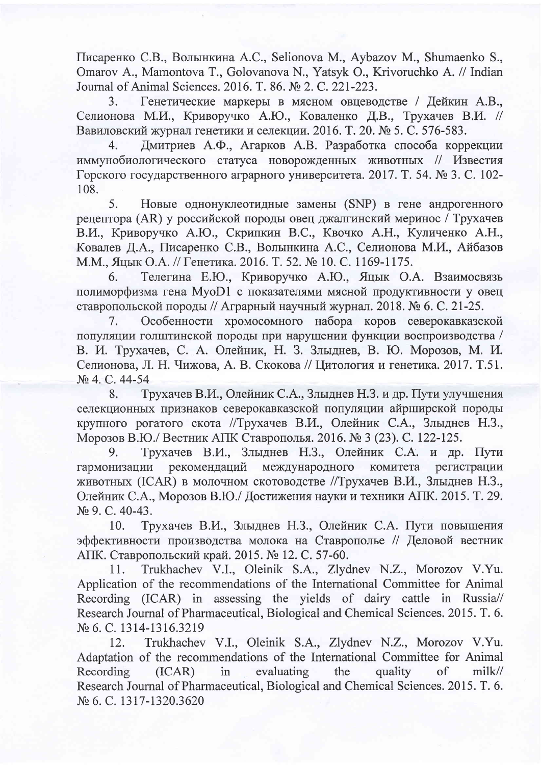Писаренко С.В., Волынкина А.С., Selionova M., Aybazov M., Shumaenko S., Omarov A., Mamontova T., Golovanova N., Yatsyk O., Krivoruchko A. // Indian Journal of Animal Sciences, 2016, T. 86, No 2, C. 221-223.

Генетические маркеры в мясном овцеводстве / Дейкин А.В.,  $3.$ Селионова М.И., Криворучко А.Ю., Коваленко Д.В., Трухачев В.И. // Вавиловский журнал генетики и селекции. 2016. Т. 20. № 5. С. 576-583.

Дмитриев А.Ф., Агарков А.В. Разработка способа коррекции  $\overline{4}$ . иммунобиологического статуса новорожденных животных // Известия Горского государственного аграрного университета, 2017. Т. 54. № 3. С. 102-108.

5. Новые однонуклеотидные замены (SNP) в гене андрогенного рецептора (AR) у российской породы овец джалгинский меринос / Трухачев В.И., Криворучко А.Ю., Скрипкин В.С., Квочко А.Н., Куличенко А.Н., Ковалев Д.А., Писаренко С.В., Волынкина А.С., Селионова М.И., Айбазов М.М., Яцык О.А. // Генетика. 2016. Т. 52. № 10. С. 1169-1175.

6. Телегина Е.Ю., Криворучко А.Ю., Яцык О.А. Взаимосвязь полиморфизма гена MyoD1 с показателями мясной продуктивности у овец ставропольской породы // Аграрный научный журнал. 2018. № 6. С. 21-25.

Особенности хромосомного набора коров северокавказской 7. популяции голштинской породы при нарушении функции воспроизводства / В. И. Трухачев, С. А. Олейник, Н. З. Злыднев, В. Ю. Морозов, М. И. Селионова, Л. Н. Чижова, А. В. Скокова // Цитология и генетика. 2017. Т.51. No 4, C, 44-54

Трухачев В.И., Олейник С.А., Злыднев Н.З. и др. Пути улучшения 8. селекционных признаков северокавказской популяции айрширской породы крупного рогатого скота //Трухачев В.И., Олейник С.А., Злыднев Н.З., Морозов В.Ю./ Вестник АПК Ставрополья. 2016. № 3 (23). С. 122-125.

9. Трухачев В.И., Злыднев Н.З., Олейник С.А. и др. Пути рекомендаций гармонизации международного комитета регистрации животных (ICAR) в молочном скотоводстве //Трухачев В.И., Злыднев Н.З., Олейник С.А., Морозов В.Ю./ Достижения науки и техники АПК. 2015. Т. 29.  $N<sub>2</sub>$  9. C. 40-43.

Трухачев В.И., Злыднев Н.З., Олейник С.А. Пути повышения 10. эффективности производства молока на Ставрополье // Деловой вестник АПК. Ставропольский край. 2015. № 12. С. 57-60.

Trukhachev V.I., Oleinik S.A., Zlydnev N.Z., Morozov V.Yu. 11. Application of the recommendations of the International Committee for Animal Recording (ICAR) in assessing the yields of dairy cattle in Russia// Research Journal of Pharmaceutical, Biological and Chemical Sciences. 2015. T. 6. № 6. С. 1314-1316.3219

Trukhachev V.I., Oleinik S.A., Zlydnev N.Z., Morozov V.Yu. 12. Adaptation of the recommendations of the International Committee for Animal Recording  $(ICAR)$  $in$ evaluating the quality <sub>of</sub> milk// Research Journal of Pharmaceutical, Biological and Chemical Sciences. 2015. T. 6. № 6. С. 1317-1320.3620